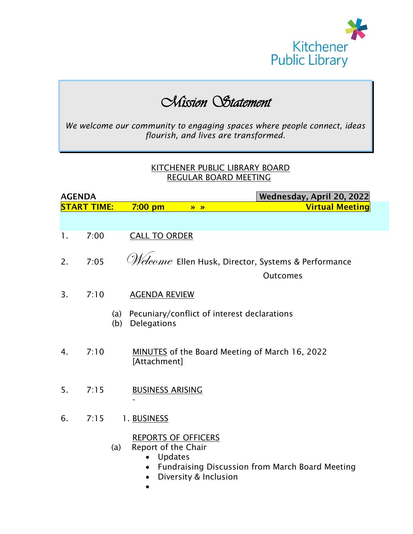

## *Mission Statement*

*We welcome our community to engaging spaces where people connect, ideas flourish, and lives are transformed.*

## KITCHENER PUBLIC LIBRARY BOARD REGULAR BOARD MEETING

| <b>AGENDA</b> |                    | Wednesday, April 20, 2022                                                                                                                                                  |
|---------------|--------------------|----------------------------------------------------------------------------------------------------------------------------------------------------------------------------|
|               | <b>START TIME:</b> | <b>Virtual Meeting</b><br>$7:00$ pm<br>$\lambda$                                                                                                                           |
|               |                    |                                                                                                                                                                            |
| 1.            | 7:00               | <b>CALL TO ORDER</b>                                                                                                                                                       |
| 2.            | 7:05               | $\mathscr{M}\!\!eleome$ Ellen Husk, Director, Systems & Performance                                                                                                        |
|               |                    | <b>Outcomes</b>                                                                                                                                                            |
| 3.            | 7:10               | <b>AGENDA REVIEW</b>                                                                                                                                                       |
|               |                    | Pecuniary/conflict of interest declarations<br>(a)<br>(b)<br>Delegations                                                                                                   |
| 4.            | 7:10               | MINUTES of the Board Meeting of March 16, 2022<br>[Attachment]                                                                                                             |
| 5.            | 7:15               | <b>BUSINESS ARISING</b>                                                                                                                                                    |
| 6.            | 7:15               | 1. BUSINESS                                                                                                                                                                |
|               |                    | <b>REPORTS OF OFFICERS</b><br>Report of the Chair<br>(a)<br><b>Updates</b><br>$\bullet$<br><b>Fundraising Discussion from March Board Meeting</b><br>Diversity & Inclusion |